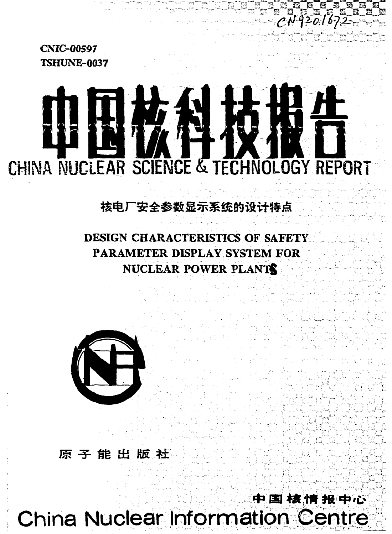**CNIC-00597 TSHUNE-0037** 

# CHINA NUCLEAR SCIENCE & TECHNOLOGY REPORT

12010

# 核电厂安全参数显示系统的设计特点

**DESIGN CHARACTERISTICS OF SAFETY** PARAMETER DISPLAY SYSTEM FOR NUCLEAR POWER PLANTS



原子能出版社

中国核情报中心 **China Nuclear Information Centre**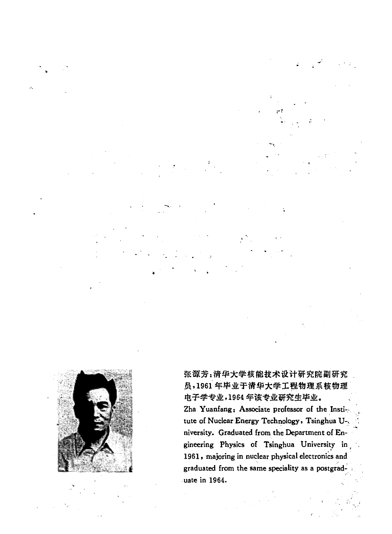

张源芳:清华大学核能技术设计研究院副研究 员,1961年毕业于清华大学工程物理系核物理 电子学专业,1964年该专业研究生毕业。 Zha Yuanfang: Associate professor of the Institute of Nuclear Energy Technology, Tsinghua University. Graduated from the Department of Engineering Physics of Tsinghua University in 1961, majoring in nuclear physical electronics and graduated from the same speciality as a postgraduate in 1964.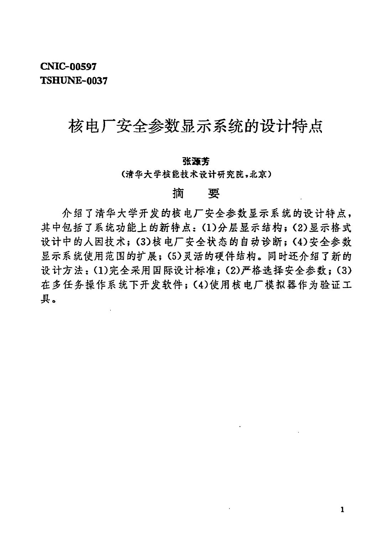# CNIC-00597 TSHUNE-0037

# 核电厂安全参数显示系统的设计特点

### 张源芳

(清华大学核能技术设计研究院,北京<br><br>猫<br> **要** 

介绍了清华大学开发的核电厂安全参数显示系统的设计特点, 其中包括了系统功能上的新特点: (1)分层显示结构; (2) 显示格式 设计中的人因技术; (3) 核电厂安全状态的自动诊断; (4) 安全参数 显示系统使用范围的扩展; (5) 灵活的硬件结构。同时还介绍了新的 设计方法: (1) 完全采用国际设计标准; (2) 严格选择安全参数; (3) 在多任务操作系统下开发软件;(4) 使用核电厂模拟器作为验证工 具。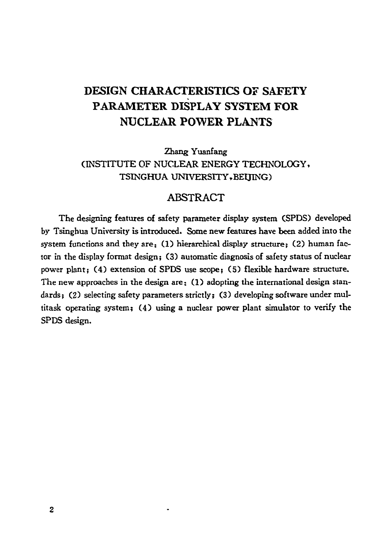# DESIGN CHARACTERISTICS OF SAFETY PARAMETER DISPLAY SYSTEM FOR NUCLEAR POWER PLANTS

Zhang Yuanfang (INSTITUTE OF NUCLEAR ENERGY TECHNOLOGY, TSINGHUA UNIVERSITY, BEIJING)

## ABSTRACT

The designing features of safety parameter display system (SPDS) developed by Tsinghua University is introduced. Some new features have been added into the system functions and they are:  $(1)$  hierarchical display structure;  $(2)$  human factor in the display format design; (3) automatic diagnosis of safety status of nuclear power plant; (4) extension of SPDS use scope; (5) flexible hardware structure. The new approaches in the design are:  $(1)$  adopting the international design standards; (2) selecting safety parameters strictly; (3) developing software under multitask operating system; (4) using a nuclear power plant simulator to verify the SPDS design.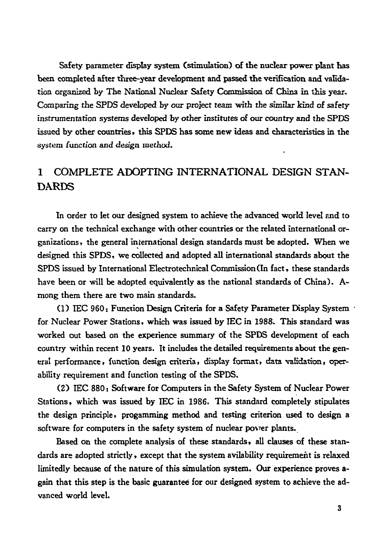Safety parameter display system (stimulation) of the nuclear power plant has been completed after three-year development and passed the verification and validation organized by The National Nuclear Safety Commission of China in this year. Comparing the SPDS developed by our project team with the similar kind of safety instrumentation systems developed by other institutes of our country and the SPDS issued by other countries, this SPDS has some new ideas and characteristics in the system function and design method.

### COMPLETE ADOPTING INTERNATIONAL DESIGN STAN-1 **DARDS**

In order to let our designed system to achieve the advanced world level and to carry on the technical exchange with other countries or the related international organizations, the general international design standards must be adopted. When we designed this SPDS, we collected and adopted all international standards about the SPDS issued by International Electrotechnical Commission (In fact, these standards have been or will be adopted equivalently as the national standards of China). Among them there are two main standards.

(1) IEC 960: Function Design Criteria for a Safety Parameter Display System . for Nuclear Power Stations, which was issued by IEC in 1988. This standard was worked out based on the experience summary of the SPDS development of each country within recent 10 years. It includes the detailed requirements about the general performance, function design criteria, display format, data validation, operability requirement and function testing of the SPDS.

(2) IEC 880: Software for Computers in the Safety System of Nuclear Power Stations, which was issued by IEC in 1986. This standard completely stipulates the design principle, progamming method and testing criterion used to design a software for computers in the safety system of nuclear power plants.

Based on the complete analysis of these standards, all clauses of these standards are adopted strictly, except that the system avilability requirement is relaxed limitedly because of the nature of this simulation system. Our experience proves again that this step is the basic guarantee for our designed system to achieve the advanced world level.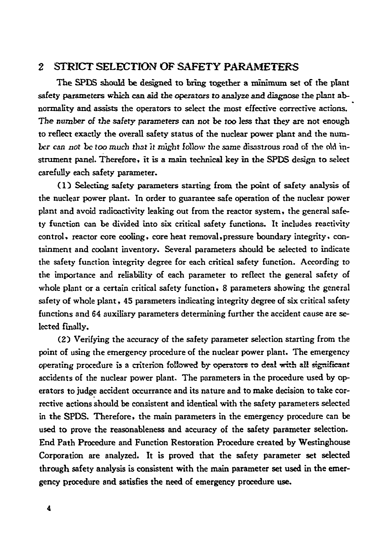### $\boldsymbol{z}$ STRICT SELECTION OF SAFETY PARAMETERS

The SPDS should be designed to bring together a minimum set of the plant safety parameters which can aid the operators to analyze and diagnose the plant abnormality and assists the operators to select the most effective corrective actions. The number of the safety parameters can not be too less that they are not enough to reflect exactly the overall safety status of the nuclear power plant and the number can not be too much that it might follow the same disastrous road of the old instrument panel. Therefore, it is a main technical key in the SPDS design to select carefully each safety parameter.

(1) Selecting safety parameters starting from the point of safety analysis of the nuclear power plant. In order to guarantee safe operation of the nuclear power plant and avoid radioactivity leaking out from the reactor system, the general safety function can be divided into six critical safety functions. It includes reactivity control, reactor core cooling, core heat removal, pressure boundary integrity, containment and coolant inventory. Several parameters should be selected to indicate the safety function integrity degree for each critical safety function. According to the importance and reliability of each parameter to reflect the general safety of whole plant or a certain critical safety function, 8 parameters showing the general safety of whole plant, 45 parameters indicating integrity degree of six critical safety functions and 64 auxiliary parameters determining further the accident cause are selected finally.

(2) Verifying the accuracy of the safety parameter selection starting from the point of using the emergency procedure of the nuclear power plant. The emergency operating procedure is a criterion followed by operators to deal with all significant accidents of the nuclear power plant. The parameters in the procedure used by operators to judge accident occurrance and its nature and to make decision to take corrective actions should be consistent and identical with the safety parameters selected in the SPDS. Therefore, the main parameters in the emergency procedure can be used to prove the reasonableness and accuracy of the safety parameter selection. End Path Procedure and Function Restoration Procedure created by Westinghouse Corporation are analyzed. It is proved that the safety parameter set selected through safety analysis is consistent with the main parameter set used in the emergency procedure and satisfies the need of emergency procedure use.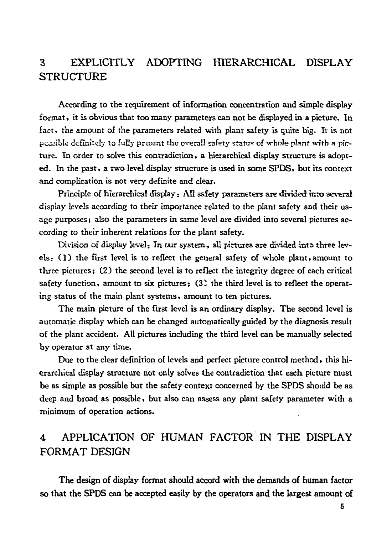# 3 EXPLICITLY ADOPTING HIERARCHICAL DISPLAY **STRUCTURE**

According to the requirement of information concentration and simple display format, it is obvious that too many parameters can not be displayed in a picture. In fact, the amount of the parameters related with plant safety is quite big. It is not possible definitely to fully present the overall safety status of whole plant with a picture. In order to solve this contradiction, a hierarchical display structure is adopted. In the past, a two level display structure is used in some SPDS, but its context and complication is not very definite and clear.

Principle of hierarchical display: All safety parameters are divided into several display levels according to their importance related to the plant safety and their usage purposes; also the parameters in same level are divided into several pictures according to their inherent relations for the plant safety.

Division of display level: In our system, all pictures are divided into three levels: (1) the first level is to reflect the general safety of whole plant, amount to three pictures; (2) the second level is to reflect the integrity degree of each critical safety function, amount to six pictures;  $(3)$  the third level is to reflect the operating status of the main plant systems, amount to ten pictures.

The main picture of the fust level is an ordinary display. The second level is automatic display which can be changed automatically guided by the diagnosis result of the plant accident. All pictures including the third level can be manually selected by operator at any time.

Due to the clear definition of levels and perfect picture control method. this hierarchical display structure not only solves the contradiction that each picture must be as simple as possible but the safety context concerned by the SPDS should be as deep and broad as possible. but also can assess any plant safety parameter with a rninimum of operation actions.

# 4 APPLICATION OF HUMAN FACTOR IN THE DISPLAY FORMAT DESIGN

The design of display format should accord with the demands of human factor so that the SPDS can be accepted easily by the operators and the largest amount of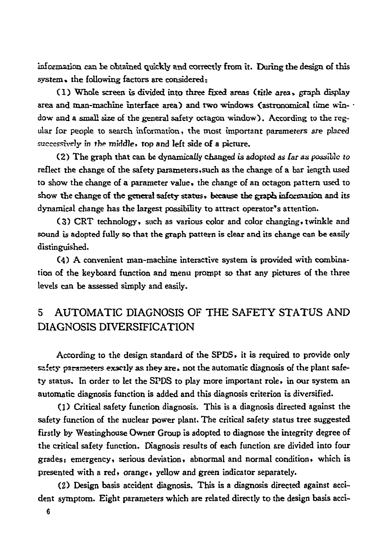information can be obtained quickly and correctly from it. During the design of this system. the following factors are considered:

 $(1)$  Whole screen is divided into three fixed areas (title area, graph display area and man-machine interface area) and two windows (astronomical time win- $\cdot$ dow and a small size of the general safety octagon window). According to the regular for people to search information, the most important parameters are placed successively in the middle, top and left side of a picture.

 $(2)$  The graph that can be dynamically changed is adopted as far as possible to reflect the change of the safety parameters,such as the change of a bar length used to show the change of a parameter value, the change of an octagon pattern used to show the change of the general safety status. because the graph information and its dynamical change has the largest possibility to attract operator's attention.

 $(3)$  CRT technology, such as various color and color changing, twinkle and sound is adopted fully so that the graph pattern is clear and its change can be easily distinguished.

(4) A convenient man-machine interactive system is provided with combination of the keyboard function and menu prompt so that any pictures of the three levels can be assessed simply and easily.

# 5 AUTOMATIC DIAGNOSIS OF THE SAFETY STATUS AND DIAGNOSIS DIVERSIFICATION

According to the design standard of the SPDS. it is required to provide only safety parameters exactly as they are. not the automatic diagnosis of the plant safety status. In order to let the SPDS to play more important role, in our system an automatic diagnosis function is added and this diagnosis criterion is diversified.

(1) Critical safety function diagnωis. This is a diagnosis directed against the safety function of the nuclear power plant. The critical safety status tree suggested firstly *by* Westinghouse Owner Group is adopted to diagnose the integrity degree of the critical safety function. Diagnosis results of each function are divided into four grades: emergency, serious deviation, abnormal and normal condition, which is presented with a red. orange. yellow and green indicator separately.

(2) Design basis accident diagnosis. This is a diagnosis directed against accident symptom. Eight parameters which are related directly to the design basis acci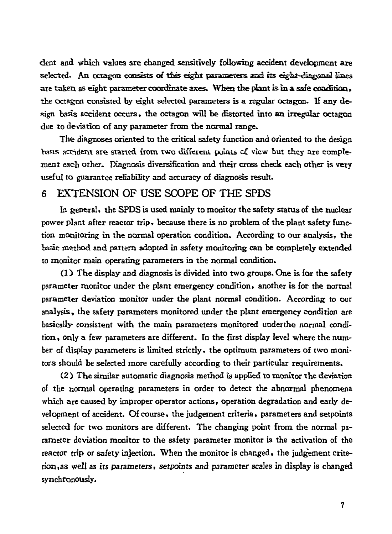dent and which values are changed sensitively following accident development are selected. An octagon consists of this eight parameters and its eight-diagonal lines are taken as eight parameter coordinate axes. When the plant is in a safe condition. the octagon consisted by eight selected parameters is a regular octagon. If any design basis accident occurs, the octagon will be distorted into an irregular octagon due to deviation of any parameter from the normal range.

The diagnoses oriented to the critical safety function and oriented to the design hasts accident are started from two different points of view but they are complement each other. Diagnosis diversification and their cross check each other is very useful to guarantee reliability and accuracy of diagnosis result.

### EXTENSION OF USE SCOPE OF THE SPDS 6

In general, the SPDS is used mainly to monitor the safety status of the nuclear power plant after reactor trip, because there is no problem of the plant safety function monitoring in the normal operation condition. According to our analysis, the basic method and pattern adopted in safety monitoring can be completely extended to monitor main operating parameters in the normal condition.

(1) The display and diagnosis is divided into two groups. One is for the safety parameter monitor under the plant emergency condition, another is for the normal parameter deviation monitor under the plant normal condition. According to our analysis, the safety parameters monitored under the plant emergency condition are basically consistent with the main parameters monitored underthe normal condition, only a few parameters are different. In the first display level where the number of display parameters is limited strictly, the optimum parameters of two monitors should be selected more carefully according to their particular requirements,

(2) The similar automatic diagnosis method is applied to monitor the deviation of the normal operating parameters in order to detect the abnormal phenomena which are caused by improper operator actions, operation degradation and early development of accident. Of course, the judgement criteria, parameters and setpoints selected for two monitors are different. The changing point from the normal parameter deviation monitor to the safety parameter monitor is the activation of the reactor trip or safety injection. When the monitor is changed, the judgement criterion, as well as its parameters, setpoints and parameter scales in display is changed synchronously.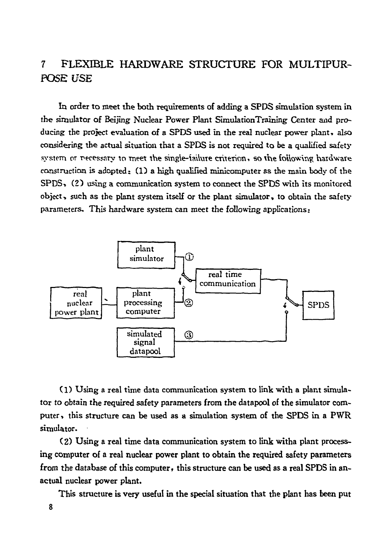### FLEXIBLE HARDWARE STRUCTURE FOR MULTIPUR- $\overline{7}$ POSE USE

In order to meet the both requirements of adding a SPDS simulation system in the simulator of Beijing Nuclear Power Plant Simulation Training Center and producing the project evaluation of a SPDS used in the real nuclear power plant, also considering the actual situation that a SPDS is not required to be a qualified safety system or necessary to meet the single-failure criterion, so the following hardware construction is adopted:  $(1)$  a high qualified minicomputer as the main body of the SPDS, (2) using a communication system to connect the SPDS with its monitored object, such as the plant system itself or the plant simulator, to obtain the safety parameters. This hardware system can meet the following applications:



(1) Using a real time data communication system to link with a plant simulator to obtain the required safety parameters from the datapool of the simulator computer, this structure can be used as a simulation system of the SPDS in a PWR simulator.

(2) Using a real time data communication system to link with a plant processing computer of a real nuclear power plant to obtain the required safety parameters from the database of this computer, this structure can be used as a real SPDS in anactual nuclear power plant.

This structure is very useful in the special situation that the plant has been put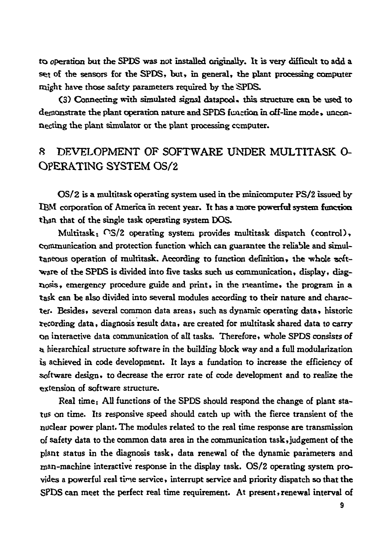to operation but the SPDS was not installed originally. It is very difficult to add a set of the sensors for the SPDS, but, in general, the plant processing computer might have those safety parameters required by the SPDS.

(3) Connecting with simulated signal datapool. this structure can be used to demonstrate the plant operation nature and SPDS function in off-line mode, unconnecting the plant simulator or the plant processing computer.

### DEVELOPMENT OF SOFTWARE UNDER MULTITASK O- $\mathbf{8}$ OPERATING SYSTEM OS/2

OS/2 is a multitask operating system used in the minicomputer PS/2 issued by IBM corporation of America in recent year. It has a more powerful system function than that of the single task operating system DOS.

Multitask: CS/2 operating system provides multitask dispatch (control), communication and protection function which can guarantee the reliable and simultaneous operation of multitask. According to function definition, the whole seftware of the SPDS is divided into five tasks such us communication, display, diagnosis, emergency procedure guide and print, in the meantime, the program in a task can be also divided into several modules according to their nature and character. Besides, several common data areas, such as dynamic operating data, historic recording data, diagnosis result data, are created for multitask shared data to carry On interactive data communication of all tasks. Therefore, whole SPDS consists of a hierarchical structure software in the building block way and a full modularization is achieved in code development. It lays a fundation to increase the efficiency of software design, to decrease the error rate of code development and to realize the extension of software structure.

Real time: All functions of the SPDS should respond the change of plant status on time. Its responsive speed should catch up with the fierce transient of the nuclear power plant. The modules related to the real time response are transmission of safety data to the common data area in the communication task, judgement of the plant status in the diagnosis task, data renewal of the dynamic parameters and man-machine interactive response in the display task. OS/2 operating system provides a powerful real time service, interrupt service and priority dispatch so that the SPDS can meet the perfect real time requirement. At present, renewal interval of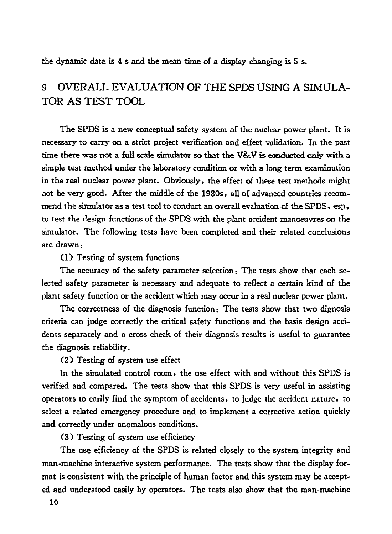the dynamic data is 4 s and the mean time of a display changing is 5 s.

### OVERALL EVALUATION OF THE SPDS USING A SIMULA-9 TOR AS TEST TOOL

The SPDS is a new conceptual safety system of the nuclear power plant. It is necessary to carry on a strict project verification and effect validation. In the past time there was not a full scale simulator so that the V&V is conducted only with a simple test method under the laboratory condition or with a long term examinution in the real nuclear power plant. Obviously, the effect of these test methods might not be very good. After the middle of the 1980s, all of advanced countries recommend the simulator as a test tool to conduct an overall evaluation of the SPDS, esp, to test the design functions of the SPDS with the plant accident manoeuvres on the simulator. The following tests have been completed and their related conclusions are drawn:

### (1) Testing of system functions

The accuracy of the safety parameter selection, The tests show that each selected safety parameter is necessary and adequate to reflect a certain kind of the plant safety function or the accident which may occur in a real nuclear power plant.

The correctness of the diagnosis function: The tests show that two dignosis criteria can judge correctly the critical safety functions and the basis design accidents separately and a cross check of their diagnosis results is useful to guarantee the diagnosis reliability.

(2) Testing of system use effect

In the simulated control room, the use effect with and without this SPDS is verified and compared. The tests show that this SPDS is very useful in assisting operators to earily find the symptom of accidents, to judge the accident nature, to select a related emergency procedure and to implement a corrective action quickly and correctly under anomalous conditions.

(3) Testing of system use efficiency

The use efficiency of the SPDS is related closely to the system integrity and man-machine interactive system performance. The tests show that the display format is consistent with the principle of human factor and this system may be accepted and understood easily by operators. The tests also show that the man-machine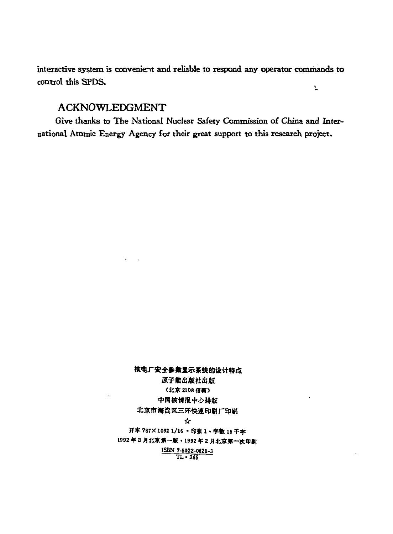interactive system is convenient and reliable to respond any operator commands to control this SPDS.  $\mathbf{L}$ 

# **ACKNOWLEDGMENT**

Give thanks to The National Nuclear Safety Commission of China and International Atomic Energy Agency for their great support to this research project.

核电厂安全参数显示系统的设计特点

原子能出版社出版 (北京 2108 信箱) 中国核情报中心排版 北京市海淀区三环快速印刷厂印刷

☆

开本 787×1092 1/16 · 印张 1 · 字数 15千字 1992年2月北京第一版·1992年2月北京第一次印刷  $\frac{\text{ISBN 7-5022-0621-3}}{\text{TL} \cdot 365}$